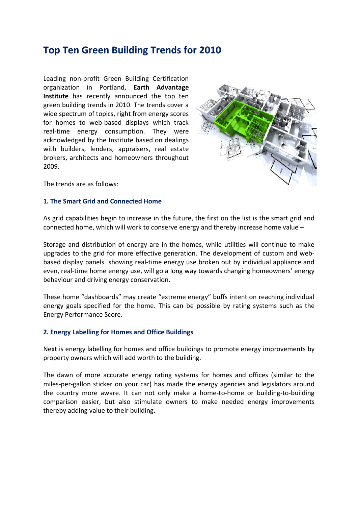# **[Top Ten Green Building Trends for 2010](http://greenbuildings-in-the-world.blogspot.com/2010/02/top-ten-green-building-trends-for-2010.html)**

Leading non-profit [Green Building C](http://www.glazette.com/green-rating-for-integrated-habitat-assessment-griha-144.html)ertification organization in Portland, **Earth Advantage Institute** has recently announced the top ten green building trends in 2010. The trends cover a wide spectrum of topics, right from energy scores for homes to web-based displays which track real-time energy consumption. They were acknowledged by the Institute based on dealings with builders, lenders, appraisers, real estate brokers, architects and homeowners throughout 2009.



The trends are as follows:

#### **1. The Smart Grid and Connected Home**

As grid capabilities begin to increase in the future, the first on the list is the smart grid and connected home, which will work to conserve energy and thereby increase home value –

Storage and distribution of energy are in the homes, while utilities will continue to make upgrades to the grid for more effective generation. The development of custom and webbased display [panels](http://in.saint-gobain-glass.com/b2c/default.asp?nav1=app&nav2=indoor&id=338) showing real-time energy use broken out by individual appliance and even, real-time home energy use, will go a long way towards changing homeowners' energy behaviour and driving [energy conservation.](http://www.glazette.com/energy-conservation-building-code-ecbc-146.html)

These home "dashboards" may create "extreme energy" buffs intent on reaching individual energy goals specified for the home. This can be possible by [rating systems](http://www.glazette.com/green-rating-for-integrated-habitat-assessment-griha-144.html) such as the Energy Performance Score.

## **2. Energy Labelling for Homes and Office Buildings**

Next is energy labelling for homes and office buildings to promote energy improvements by property owners which will add worth to the building.

The dawn of more accurate energy rating systems for homes and offices (similar to the miles-per-gallon sticker on your car) has made the energy agencies and legislators around the country more aware. It can not only make a home-to-home or building-to-building comparison easier, but also stimulate owners to make needed energy improvements thereby adding value to their building.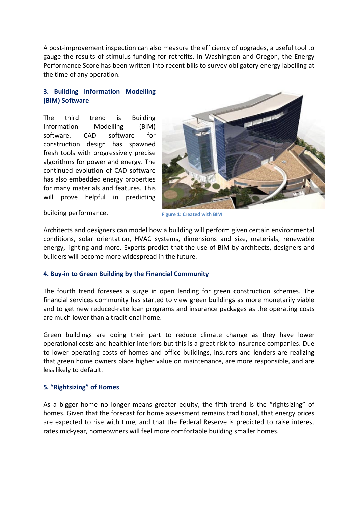A post-improvement inspection can also measure the efficiency of upgrades, a useful tool to gauge the results of stimulus funding for retrofits. In Washington and Oregon, the Energy Performance Score has been written into recent bills to survey obligatory energy labelling at the time of any operation.

# **3. Building Information Modelling (BIM) Software**

The third trend is Building Information Modelling (BIM) software. CAD software for construction design has spawned fresh tools with progressively precise algorithms for power and energy. The continued evolution of CAD software has also embedded energy properties for many materials and features. This will prove helpful in predicting



**Figure 1: Created with BIM**

Architects and designers can model how a building will perform given certain environmental conditions, solar orientation, HVAC systems, dimensions and size, materials, renewable energy, lighting and more. Experts predict that the use of BIM by architects, designers and builders will become more widespread in the future.

## **4. Buy-in to Green Building by the Financial Community**

The fourth trend foresees a surge in open lending for green construction schemes. The financial services community has started to view green buildings as more monetarily viable and to get new reduced-rate loan programs and insurance packages as the operating costs are much lower than a traditional home.

Green buildings are doing their part to reduce climate change as they have lower operational costs and healthier interiors but this is a great risk to insurance companies. Due to lower operating costs of homes and office buildings, insurers and lenders are realizing that green home owners place higher value on maintenance, are more responsible, and are less likely to default.

## **5. "Rightsizing" of Homes**

As a bigger home no longer means greater equity, the fifth trend is the "rightsizing" of homes. Given that the forecast for home assessment remains traditional, that energy prices are expected to rise with time, and that the Federal Reserve is predicted to raise interest rates mid-year, homeowners will feel more comfortable building smaller homes.

building performance.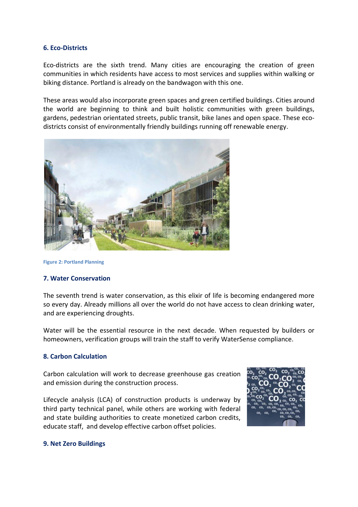#### **6. Eco-Districts**

Eco-districts are the sixth trend. Many cities are encouraging the creation of green communities in which residents have access to most services and supplies within walking or biking distance. Portland is already on the bandwagon with this one.

These areas would also incorporate green spaces and green certified buildings. Cities around the world are beginning to think and built holistic communities with green buildings, gardens, pedestrian orientated streets, public transit, bike lanes and open space. These ecodistricts consist of environmentally friendly buildings running off renewable energy.



**Figure 2: Portland Planning**

#### **7. Water Conservation**

The seventh trend is water conservation, as this elixir of life is becoming endangered more so every day. Already millions all over the world do not have access to clean drinking water, and are experiencing droughts.

Water will be the essential resource in the next decade. When requested by builders or homeowners, verification groups will train the staff to verify WaterSense compliance.

#### **8. Carbon Calculation**

Carbon calculation will work to decrease greenhouse gas creation and emission during the construction process.

Lifecycle analysis (LCA) of construction products is underway by third party technical panel, while others are working with federal and state building authorities to create monetized carbon credits, educate staff, and develop effective carbon offset policies.



#### **9. Net Zero Buildings**